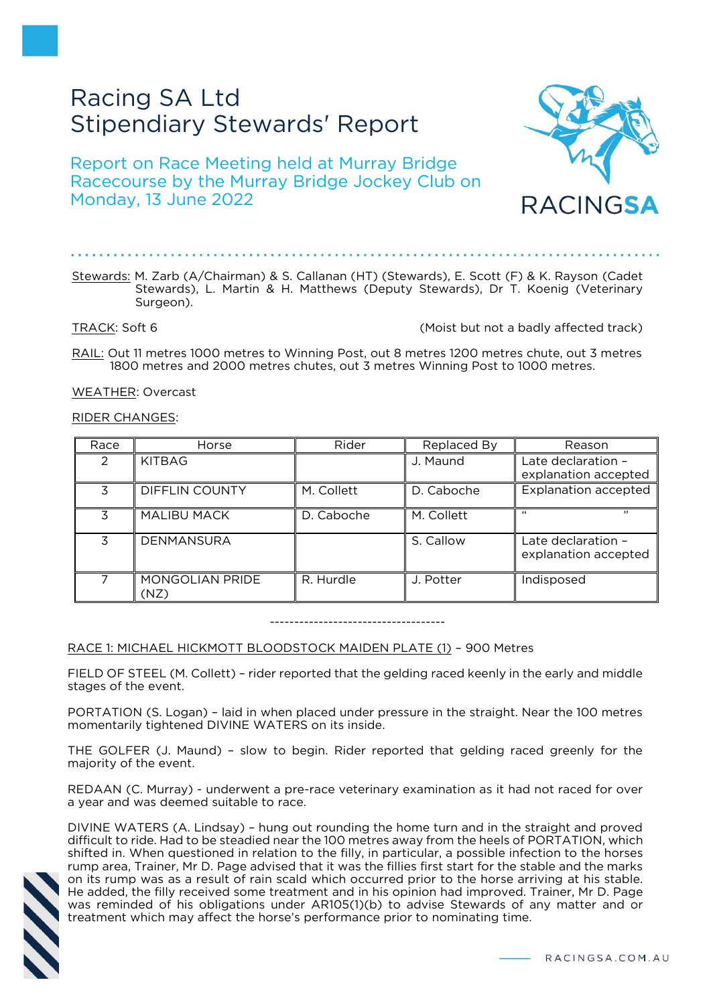# Racing SA Ltd Stipendiary Stewards' Report

Report on Race Meeting held at Murray Bridge Racecourse by the Murray Bridge Jockey Club on Monday, 13 June 2022

Stewards: M. Zarb (A/Chairman) & S. Callanan (HT) (Stewards), E. Scott (F) & K. Rayson (Cadet Stewards), L. Martin & H. Matthews (Deputy Stewards), Dr T. Koenig (Veterinary Surgeon).

TRACK: Soft 6 (Moist but not a badly affected track)

RAIL: Out 11 metres 1000 metres to Winning Post, out 8 metres 1200 metres chute, out 3 metres 1800 metres and 2000 metres chutes, out 3 metres Winning Post to 1000 metres.

WEATHER: Overcast

## RIDER CHANGES:

| Race          | Horse                   | Rider      | Replaced By | Reason                                     |
|---------------|-------------------------|------------|-------------|--------------------------------------------|
| $\mathcal{P}$ | <b>KITBAG</b>           |            | J. Maund    | Late declaration -<br>explanation accepted |
| 3             | <b>DIFFLIN COUNTY</b>   | M. Collett | D. Caboche  | <b>Explanation accepted</b>                |
| 3             | <b>MALIBU MACK</b>      | D. Caboche | M. Collett  | , ,<br>$\epsilon$                          |
| 3             | <b>DENMANSURA</b>       |            | S. Callow   | Late declaration -<br>explanation accepted |
| 7             | MONGOLIAN PRIDE<br>(NZ) | R. Hurdle  | J. Potter   | Indisposed                                 |

------------------------------------

RACE 1: MICHAEL HICKMOTT BLOODSTOCK MAIDEN PLATE (1) – 900 Metres

FIELD OF STEEL (M. Collett) – rider reported that the gelding raced keenly in the early and middle stages of the event.

PORTATION (S. Logan) – laid in when placed under pressure in the straight. Near the 100 metres momentarily tightened DIVINE WATERS on its inside.

THE GOLFER (J. Maund) – slow to begin. Rider reported that gelding raced greenly for the majority of the event.

REDAAN (C. Murray) - underwent a pre-race veterinary examination as it had not raced for over a year and was deemed suitable to race.

DIVINE WATERS (A. Lindsay) – hung out rounding the home turn and in the straight and proved difficult to ride. Had to be steadied near the 100 metres away from the heels of PORTATION, which shifted in. When questioned in relation to the filly, in particular, a possible infection to the horses rump area, Trainer, Mr D. Page advised that it was the fillies first start for the stable and the marks on its rump was as a result of rain scald which occurred prior to the horse arriving at his stable. He added, the filly received some treatment and in his opinion had improved. Trainer, Mr D. Page was reminded of his obligations under AR105(1)(b) to advise Stewards of any matter and or treatment which may affect the horse's performance prior to nominating time.



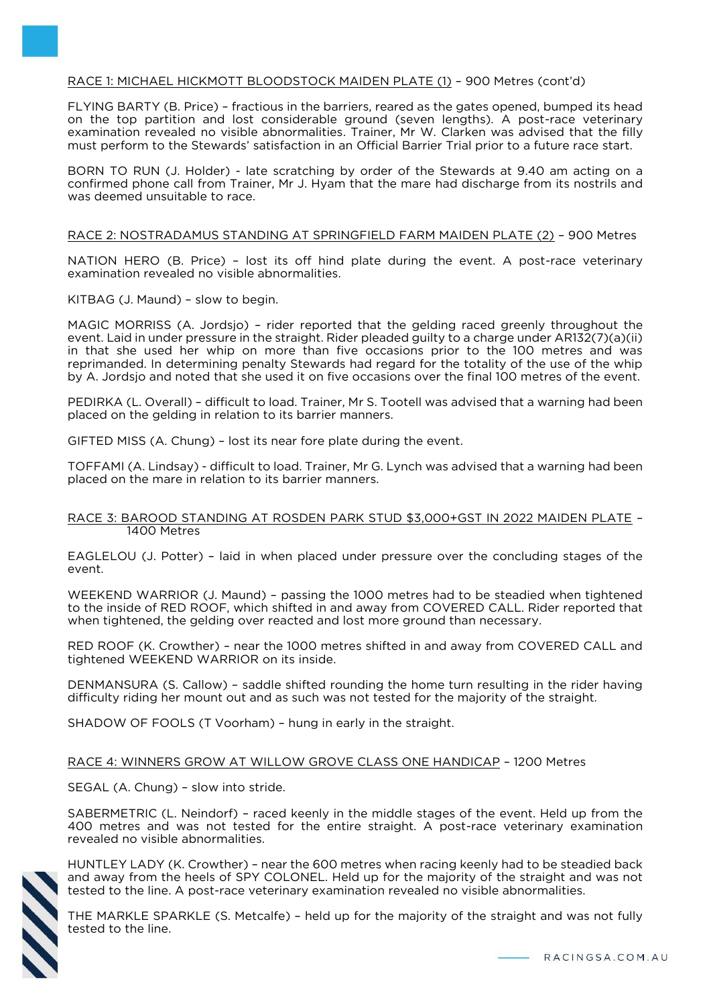# RACE 1: MICHAEL HICKMOTT BLOODSTOCK MAIDEN PLATE (1) – 900 Metres (cont'd)

FLYING BARTY (B. Price) – fractious in the barriers, reared as the gates opened, bumped its head on the top partition and lost considerable ground (seven lengths). A post-race veterinary examination revealed no visible abnormalities. Trainer, Mr W. Clarken was advised that the filly must perform to the Stewards' satisfaction in an Official Barrier Trial prior to a future race start.

BORN TO RUN (J. Holder) - late scratching by order of the Stewards at 9.40 am acting on a confirmed phone call from Trainer, Mr J. Hyam that the mare had discharge from its nostrils and was deemed unsuitable to race.

#### RACE 2: NOSTRADAMUS STANDING AT SPRINGFIELD FARM MAIDEN PLATE (2) – 900 Metres

NATION HERO (B. Price) – lost its off hind plate during the event. A post-race veterinary examination revealed no visible abnormalities.

KITBAG (J. Maund) – slow to begin.

MAGIC MORRISS (A. Jordsjo) – rider reported that the gelding raced greenly throughout the event. Laid in under pressure in the straight. Rider pleaded guilty to a charge under AR132(7)(a)(ii) in that she used her whip on more than five occasions prior to the 100 metres and was reprimanded. In determining penalty Stewards had regard for the totality of the use of the whip by A. Jordsjo and noted that she used it on five occasions over the final 100 metres of the event.

PEDIRKA (L. Overall) – difficult to load. Trainer, Mr S. Tootell was advised that a warning had been placed on the gelding in relation to its barrier manners.

GIFTED MISS (A. Chung) – lost its near fore plate during the event.

TOFFAMI (A. Lindsay) - difficult to load. Trainer, Mr G. Lynch was advised that a warning had been placed on the mare in relation to its barrier manners.

#### RACE 3: BAROOD STANDING AT ROSDEN PARK STUD \$3,000+GST IN 2022 MAIDEN PLATE – 1400 Metres

EAGLELOU (J. Potter) – laid in when placed under pressure over the concluding stages of the event.

WEEKEND WARRIOR (J. Maund) – passing the 1000 metres had to be steadied when tightened to the inside of RED ROOF, which shifted in and away from COVERED CALL. Rider reported that when tightened, the gelding over reacted and lost more ground than necessary.

RED ROOF (K. Crowther) – near the 1000 metres shifted in and away from COVERED CALL and tightened WEEKEND WARRIOR on its inside.

DENMANSURA (S. Callow) – saddle shifted rounding the home turn resulting in the rider having difficulty riding her mount out and as such was not tested for the majority of the straight.

SHADOW OF FOOLS (T Voorham) – hung in early in the straight.

RACE 4: WINNERS GROW AT WILLOW GROVE CLASS ONE HANDICAP – 1200 Metres

SEGAL (A. Chung) – slow into stride.

SABERMETRIC (L. Neindorf) – raced keenly in the middle stages of the event. Held up from the 400 metres and was not tested for the entire straight. A post-race veterinary examination revealed no visible abnormalities.



HUNTLEY LADY (K. Crowther) – near the 600 metres when racing keenly had to be steadied back and away from the heels of SPY COLONEL. Held up for the majority of the straight and was not tested to the line. A post-race veterinary examination revealed no visible abnormalities.

THE MARKLE SPARKLE (S. Metcalfe) – held up for the majority of the straight and was not fully tested to the line.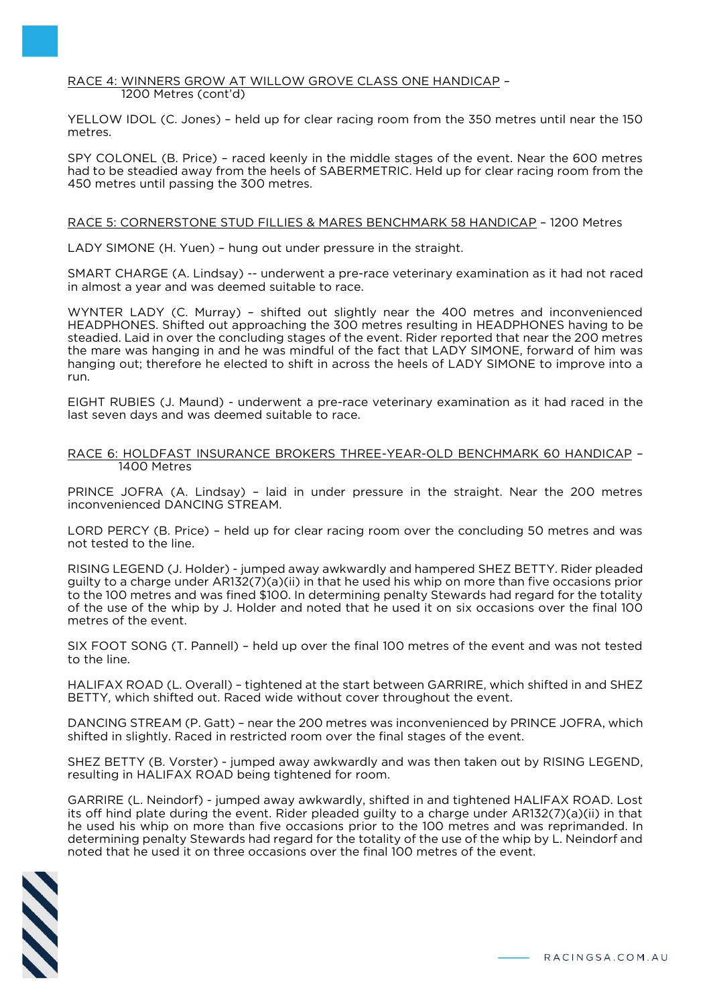#### RACE 4: WINNERS GROW AT WILLOW GROVE CLASS ONE HANDICAP – 1200 Metres (cont'd)

YELLOW IDOL (C. Jones) – held up for clear racing room from the 350 metres until near the 150 metres.

SPY COLONEL (B. Price) – raced keenly in the middle stages of the event. Near the 600 metres had to be steadied away from the heels of SABERMETRIC. Held up for clear racing room from the 450 metres until passing the 300 metres.

#### RACE 5: CORNERSTONE STUD FILLIES & MARES BENCHMARK 58 HANDICAP – 1200 Metres

LADY SIMONE (H. Yuen) – hung out under pressure in the straight.

SMART CHARGE (A. Lindsay) -- underwent a pre-race veterinary examination as it had not raced in almost a year and was deemed suitable to race.

WYNTER LADY (C. Murray) – shifted out slightly near the 400 metres and inconvenienced HEADPHONES. Shifted out approaching the 300 metres resulting in HEADPHONES having to be steadied. Laid in over the concluding stages of the event. Rider reported that near the 200 metres the mare was hanging in and he was mindful of the fact that LADY SIMONE, forward of him was hanging out; therefore he elected to shift in across the heels of LADY SIMONE to improve into a run.

EIGHT RUBIES (J. Maund) - underwent a pre-race veterinary examination as it had raced in the last seven days and was deemed suitable to race.

#### RACE 6: HOLDFAST INSURANCE BROKERS THREE-YEAR-OLD BENCHMARK 60 HANDICAP – 1400 Metres

PRINCE JOFRA (A. Lindsay) – laid in under pressure in the straight. Near the 200 metres inconvenienced DANCING STREAM.

LORD PERCY (B. Price) – held up for clear racing room over the concluding 50 metres and was not tested to the line.

RISING LEGEND (J. Holder) - jumped away awkwardly and hampered SHEZ BETTY. Rider pleaded guilty to a charge under AR132(7)(a)(ii) in that he used his whip on more than five occasions prior to the 100 metres and was fined \$100. In determining penalty Stewards had regard for the totality of the use of the whip by J. Holder and noted that he used it on six occasions over the final 100 metres of the event.

SIX FOOT SONG (T. Pannell) – held up over the final 100 metres of the event and was not tested to the line.

HALIFAX ROAD (L. Overall) – tightened at the start between GARRIRE, which shifted in and SHEZ BETTY, which shifted out. Raced wide without cover throughout the event.

DANCING STREAM (P. Gatt) – near the 200 metres was inconvenienced by PRINCE JOFRA, which shifted in slightly. Raced in restricted room over the final stages of the event.

SHEZ BETTY (B. Vorster) - jumped away awkwardly and was then taken out by RISING LEGEND, resulting in HALIFAX ROAD being tightened for room.

GARRIRE (L. Neindorf) - jumped away awkwardly, shifted in and tightened HALIFAX ROAD. Lost its off hind plate during the event. Rider pleaded guilty to a charge under AR132(7)(a)(ii) in that he used his whip on more than five occasions prior to the 100 metres and was reprimanded. In determining penalty Stewards had regard for the totality of the use of the whip by L. Neindorf and noted that he used it on three occasions over the final 100 metres of the event.

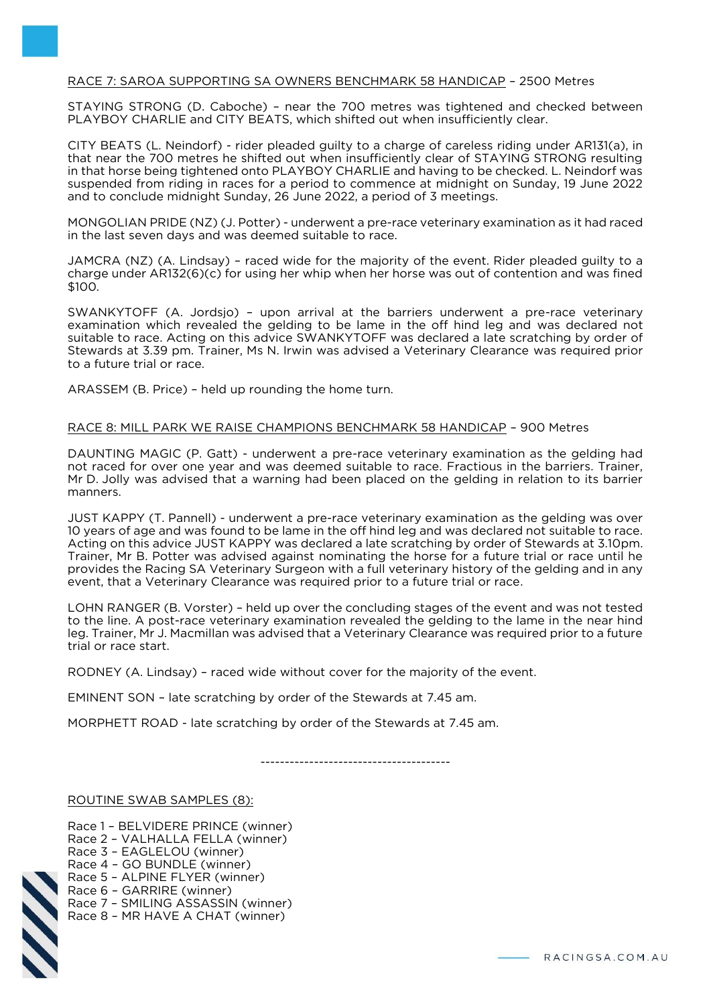## RACE 7: SAROA SUPPORTING SA OWNERS BENCHMARK 58 HANDICAP – 2500 Metres

STAYING STRONG (D. Caboche) – near the 700 metres was tightened and checked between PLAYBOY CHARLIE and CITY BEATS, which shifted out when insufficiently clear.

CITY BEATS (L. Neindorf) - rider pleaded guilty to a charge of careless riding under AR131(a), in that near the 700 metres he shifted out when insufficiently clear of STAYING STRONG resulting in that horse being tightened onto PLAYBOY CHARLIE and having to be checked. L. Neindorf was suspended from riding in races for a period to commence at midnight on Sunday, 19 June 2022 and to conclude midnight Sunday, 26 June 2022, a period of 3 meetings.

MONGOLIAN PRIDE (NZ) (J. Potter) - underwent a pre-race veterinary examination as it had raced in the last seven days and was deemed suitable to race.

JAMCRA (NZ) (A. Lindsay) – raced wide for the majority of the event. Rider pleaded guilty to a charge under AR132(6)(c) for using her whip when her horse was out of contention and was fined \$100.

SWANKYTOFF (A. Jordsjo) – upon arrival at the barriers underwent a pre-race veterinary examination which revealed the gelding to be lame in the off hind leg and was declared not suitable to race. Acting on this advice SWANKYTOFF was declared a late scratching by order of Stewards at 3.39 pm. Trainer, Ms N. Irwin was advised a Veterinary Clearance was required prior to a future trial or race.

ARASSEM (B. Price) – held up rounding the home turn.

#### RACE 8: MILL PARK WE RAISE CHAMPIONS BENCHMARK 58 HANDICAP – 900 Metres

DAUNTING MAGIC (P. Gatt) - underwent a pre-race veterinary examination as the gelding had not raced for over one year and was deemed suitable to race. Fractious in the barriers. Trainer, Mr D. Jolly was advised that a warning had been placed on the gelding in relation to its barrier manners.

JUST KAPPY (T. Pannell) - underwent a pre-race veterinary examination as the gelding was over 10 years of age and was found to be lame in the off hind leg and was declared not suitable to race. Acting on this advice JUST KAPPY was declared a late scratching by order of Stewards at 3.10pm. Trainer, Mr B. Potter was advised against nominating the horse for a future trial or race until he provides the Racing SA Veterinary Surgeon with a full veterinary history of the gelding and in any event, that a Veterinary Clearance was required prior to a future trial or race.

LOHN RANGER (B. Vorster) – held up over the concluding stages of the event and was not tested to the line. A post-race veterinary examination revealed the gelding to the lame in the near hind leg. Trainer, Mr J. Macmillan was advised that a Veterinary Clearance was required prior to a future trial or race start.

RODNEY (A. Lindsay) – raced wide without cover for the majority of the event.

EMINENT SON – late scratching by order of the Stewards at 7.45 am.

MORPHETT ROAD - late scratching by order of the Stewards at 7.45 am.

---------------------------------------

ROUTINE SWAB SAMPLES (8):

Race 1 – BELVIDERE PRINCE (winner) Race 2 – VALHALLA FELLA (winner) Race 3 – EAGLELOU (winner) Race 4 – GO BUNDLE (winner) Race 5 – ALPINE FLYER (winner) Race 6 – GARRIRE (winner) Race 7 – SMILING ASSASSIN (winner) Race 8 – MR HAVE A CHAT (winner)